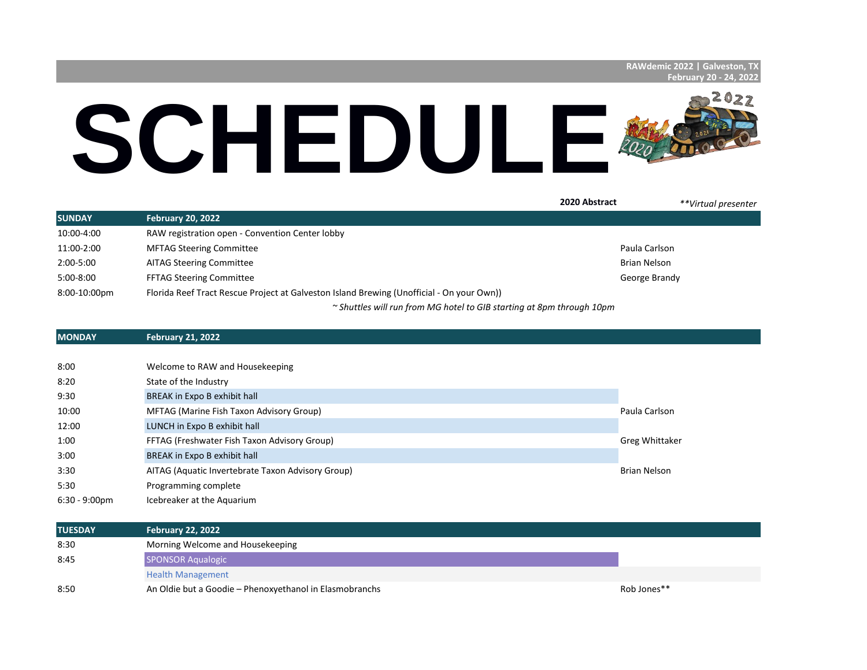## SCHEDULE®

|               |                                                                                           | 2020 Abstract | **Virtual presenter |
|---------------|-------------------------------------------------------------------------------------------|---------------|---------------------|
| <b>SUNDAY</b> | <b>February 20, 2022</b>                                                                  |               |                     |
| 10:00-4:00    | RAW registration open - Convention Center lobby                                           |               |                     |
| 11:00-2:00    | <b>MFTAG Steering Committee</b>                                                           | Paula Carlson |                     |
| $2:00 - 5:00$ | <b>AITAG Steering Committee</b>                                                           | Brian Nelson  |                     |
| $5:00-8:00$   | <b>FFTAG Steering Committee</b>                                                           | George Brandy |                     |
| 8:00-10:00pm  | Florida Reef Tract Rescue Project at Galveston Island Brewing (Unofficial - On your Own)) |               |                     |
|               | $\sim$ Shuttles will run from MG hotel to GIB starting at 8pm through 10pm                |               |                     |

## **MONDAY February 21, 2022**

| 8:00                    | Welcome to RAW and Housekeeping                   |                |
|-------------------------|---------------------------------------------------|----------------|
| 8:20                    | State of the Industry                             |                |
| 9:30                    | BREAK in Expo B exhibit hall                      |                |
| 10:00                   | MFTAG (Marine Fish Taxon Advisory Group)          | Paula Carlson  |
| 12:00                   | LUNCH in Expo B exhibit hall                      |                |
| 1:00                    | FFTAG (Freshwater Fish Taxon Advisory Group)      | Greg Whittaker |
| 3:00                    | BREAK in Expo B exhibit hall                      |                |
| 3:30                    | AITAG (Aquatic Invertebrate Taxon Advisory Group) | Brian Nelson   |
| 5:30                    | Programming complete                              |                |
| $6:30 - 9:00 \text{pm}$ | Icebreaker at the Aquarium                        |                |

| <b>TUESDAY</b> | <b>February 22, 2022</b>                                |             |
|----------------|---------------------------------------------------------|-------------|
| 8:30           | Morning Welcome and Housekeeping                        |             |
| 8:45           | <b>SPONSOR Aqualogic</b>                                |             |
|                | <b>Health Management</b>                                |             |
| 8:50           | An Oldie but a Goodie - Phenoxyethanol in Elasmobranchs | Rob Jones** |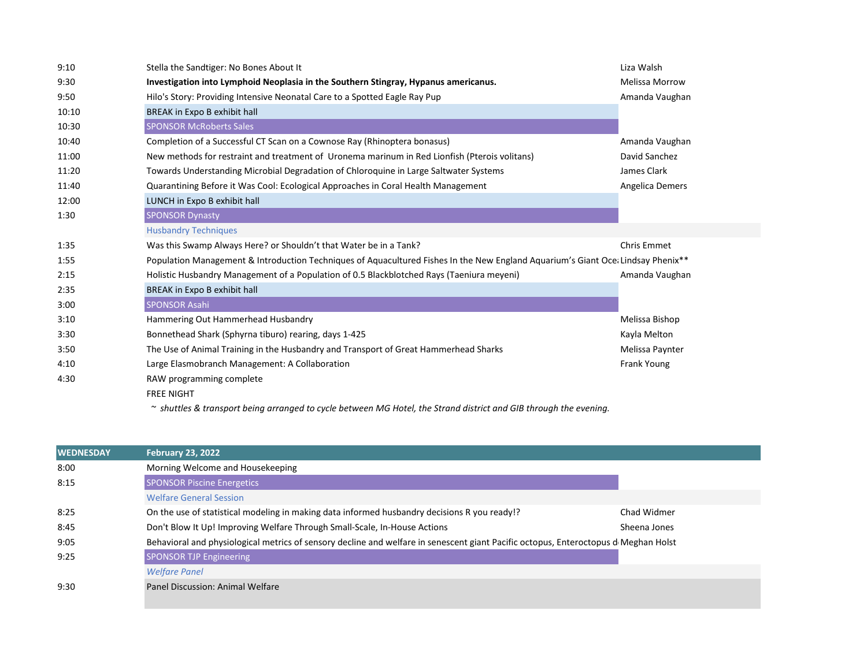| 9:10  | Stella the Sandtiger: No Bones About It                                                                                         | Liza Walsh            |
|-------|---------------------------------------------------------------------------------------------------------------------------------|-----------------------|
| 9:30  | Investigation into Lymphoid Neoplasia in the Southern Stingray, Hypanus americanus.                                             | <b>Melissa Morrow</b> |
| 9:50  | Hilo's Story: Providing Intensive Neonatal Care to a Spotted Eagle Ray Pup                                                      | Amanda Vaughan        |
| 10:10 | BREAK in Expo B exhibit hall                                                                                                    |                       |
| 10:30 | <b>SPONSOR McRoberts Sales</b>                                                                                                  |                       |
| 10:40 | Completion of a Successful CT Scan on a Cownose Ray (Rhinoptera bonasus)                                                        | Amanda Vaughan        |
| 11:00 | New methods for restraint and treatment of Uronema marinum in Red Lionfish (Pterois volitans)                                   | David Sanchez         |
| 11:20 | Towards Understanding Microbial Degradation of Chloroquine in Large Saltwater Systems                                           | James Clark           |
| 11:40 | Quarantining Before it Was Cool: Ecological Approaches in Coral Health Management                                               | Angelica Demers       |
| 12:00 | LUNCH in Expo B exhibit hall                                                                                                    |                       |
| 1:30  | <b>SPONSOR Dynasty</b>                                                                                                          |                       |
|       | <b>Husbandry Techniques</b>                                                                                                     |                       |
| 1:35  | Was this Swamp Always Here? or Shouldn't that Water be in a Tank?                                                               | Chris Emmet           |
| 1:55  | Population Management & Introduction Techniques of Aquacultured Fishes In the New England Aquarium's Giant Oce Lindsay Phenix** |                       |
| 2:15  | Holistic Husbandry Management of a Population of 0.5 Blackblotched Rays (Taeniura meyeni)                                       | Amanda Vaughan        |
| 2:35  | BREAK in Expo B exhibit hall                                                                                                    |                       |
| 3:00  | <b>SPONSOR Asahi</b>                                                                                                            |                       |
| 3:10  | Hammering Out Hammerhead Husbandry                                                                                              | Melissa Bishop        |
| 3:30  | Bonnethead Shark (Sphyrna tiburo) rearing, days 1-425                                                                           | Kayla Melton          |
| 3:50  | The Use of Animal Training in the Husbandry and Transport of Great Hammerhead Sharks                                            | Melissa Paynter       |
| 4:10  | Large Elasmobranch Management: A Collaboration                                                                                  | Frank Young           |
| 4:30  | RAW programming complete                                                                                                        |                       |
|       | <b>FREE NIGHT</b>                                                                                                               |                       |
|       | $\sim$ shuttles & transport being arranged to cycle between MG Hotel, the Strand district and GIB through the evening.          |                       |

| <b>WEDNESDAY</b> | <b>February 23, 2022</b>                                                                                                            |              |
|------------------|-------------------------------------------------------------------------------------------------------------------------------------|--------------|
| 8:00             | Morning Welcome and Housekeeping                                                                                                    |              |
| 8:15             | <b>SPONSOR Piscine Energetics</b>                                                                                                   |              |
|                  | <b>Welfare General Session</b>                                                                                                      |              |
| 8:25             | On the use of statistical modeling in making data informed husbandry decisions R you ready!?                                        | Chad Widmer  |
| 8:45             | Don't Blow It Up! Improving Welfare Through Small-Scale, In-House Actions                                                           | Sheena Jones |
| 9:05             | Behavioral and physiological metrics of sensory decline and welfare in senescent giant Pacific octopus, Enteroctopus d Meghan Holst |              |
| 9:25             | <b>SPONSOR TJP Engineering</b>                                                                                                      |              |
|                  | <b>Welfare Panel</b>                                                                                                                |              |
| 9:30             | Panel Discussion: Animal Welfare                                                                                                    |              |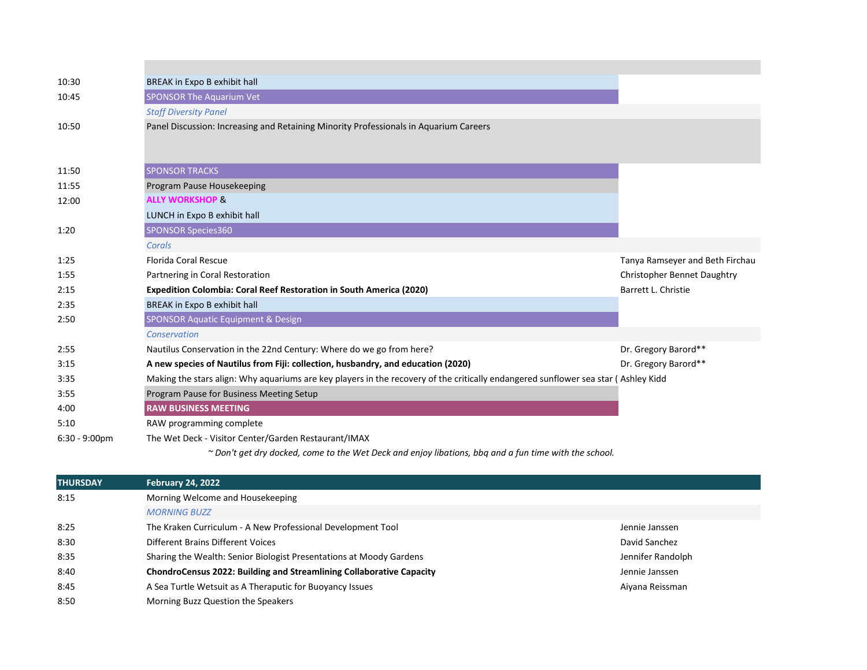| 10:30            | BREAK in Expo B exhibit hall                                                                                                       |                                 |
|------------------|------------------------------------------------------------------------------------------------------------------------------------|---------------------------------|
| 10:45            | <b>SPONSOR The Aquarium Vet</b>                                                                                                    |                                 |
|                  | <b>Staff Diversity Panel</b>                                                                                                       |                                 |
| 10:50            | Panel Discussion: Increasing and Retaining Minority Professionals in Aquarium Careers                                              |                                 |
|                  |                                                                                                                                    |                                 |
| 11:50            | <b>SPONSOR TRACKS</b>                                                                                                              |                                 |
| 11:55            | Program Pause Housekeeping                                                                                                         |                                 |
| 12:00            | <b>ALLY WORKSHOP &amp;</b>                                                                                                         |                                 |
|                  | LUNCH in Expo B exhibit hall                                                                                                       |                                 |
| 1:20             | <b>SPONSOR Species360</b>                                                                                                          |                                 |
|                  | Corals                                                                                                                             |                                 |
| 1:25             | <b>Florida Coral Rescue</b>                                                                                                        | Tanya Ramseyer and Beth Firchau |
| 1:55             | Partnering in Coral Restoration                                                                                                    | Christopher Bennet Daughtry     |
| 2:15             | Expedition Colombia: Coral Reef Restoration in South America (2020)                                                                | Barrett L. Christie             |
| 2:35             | BREAK in Expo B exhibit hall                                                                                                       |                                 |
| 2:50             | <b>SPONSOR Aquatic Equipment &amp; Design</b>                                                                                      |                                 |
|                  | Conservation                                                                                                                       |                                 |
| 2:55             | Nautilus Conservation in the 22nd Century: Where do we go from here?                                                               | Dr. Gregory Barord**            |
| 3:15             | A new species of Nautilus from Fiji: collection, husbandry, and education (2020)                                                   | Dr. Gregory Barord**            |
| 3:35             | Making the stars align: Why aquariums are key players in the recovery of the critically endangered sunflower sea star (Ashley Kidd |                                 |
| 3:55             | Program Pause for Business Meeting Setup                                                                                           |                                 |
| 4:00             | <b>RAW BUSINESS MEETING</b>                                                                                                        |                                 |
| 5:10             | RAW programming complete                                                                                                           |                                 |
| $6:30 - 9:00$ pm | The Wet Deck - Visitor Center/Garden Restaurant/IMAX                                                                               |                                 |
|                  | ~ Don't get dry docked, come to the Wet Deck and enjoy libations, bbq and a fun time with the school.                              |                                 |
| <b>THURSDAY</b>  | <b>February 24, 2022</b>                                                                                                           |                                 |
| 8:15             | Morning Welcome and Housekeeping                                                                                                   |                                 |
|                  | <b>MORNING BUZZ</b>                                                                                                                |                                 |
| 8:25             | The Kraken Curriculum - A New Professional Development Tool                                                                        | Jennie Janssen                  |

8:30 **Different Brains Different Voices** David Sanchez David Sanchez David Sanchez David Sanchez David Sanchez 8:35 Sharing the Wealth: Senior Biologist Presentations at Moody Gardens Jennifer Randolph Jennifer Randolph 8:40 **ChondroCensus 2022: Building and Streamlining Collaborative Capacity Chapacity** Jennie Janssen 8:45 A Sea Turtle Wetsuit as A Theraputic for Buoyancy Issues Aiyana Reissman Aiyana Reissman

8:50 Morning Buzz Question the Speakers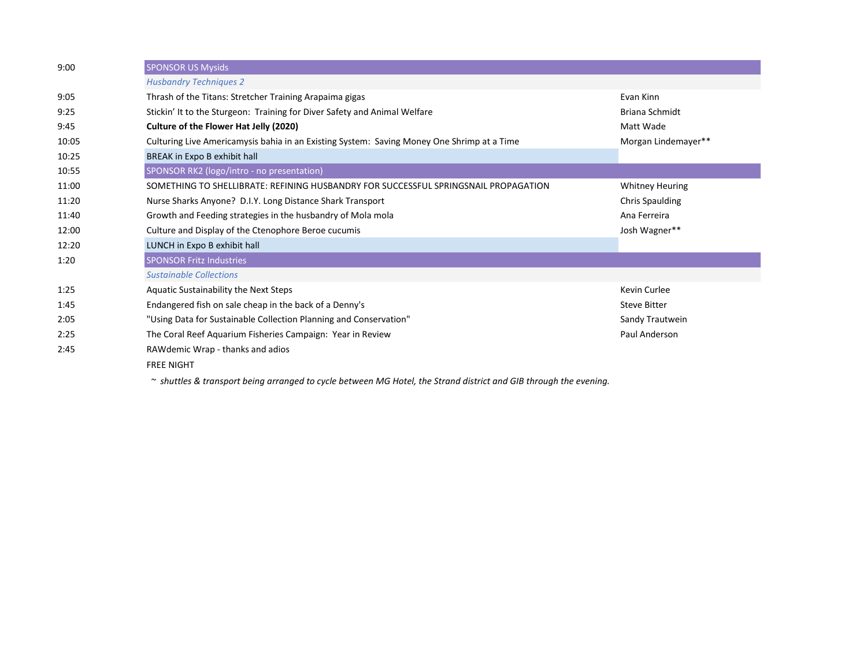| 9:00  | <b>SPONSOR US Mysids</b>                                                                   |                        |  |  |
|-------|--------------------------------------------------------------------------------------------|------------------------|--|--|
|       | <b>Husbandry Techniques 2</b>                                                              |                        |  |  |
| 9:05  | Thrash of the Titans: Stretcher Training Arapaima gigas                                    | Evan Kinn              |  |  |
| 9:25  | Stickin' It to the Sturgeon: Training for Diver Safety and Animal Welfare                  | Briana Schmidt         |  |  |
| 9:45  | Culture of the Flower Hat Jelly (2020)                                                     | Matt Wade              |  |  |
| 10:05 | Culturing Live Americamysis bahia in an Existing System: Saving Money One Shrimp at a Time | Morgan Lindemayer**    |  |  |
| 10:25 | BREAK in Expo B exhibit hall                                                               |                        |  |  |
| 10:55 | SPONSOR RK2 (logo/intro - no presentation)                                                 |                        |  |  |
| 11:00 | SOMETHING TO SHELLIBRATE: REFINING HUSBANDRY FOR SUCCESSFUL SPRINGSNAIL PROPAGATION        | <b>Whitney Heuring</b> |  |  |
| 11:20 | Nurse Sharks Anyone? D.I.Y. Long Distance Shark Transport                                  | <b>Chris Spaulding</b> |  |  |
| 11:40 | Growth and Feeding strategies in the husbandry of Mola mola                                | Ana Ferreira           |  |  |
| 12:00 | Culture and Display of the Ctenophore Beroe cucumis                                        | Josh Wagner**          |  |  |
| 12:20 | LUNCH in Expo B exhibit hall                                                               |                        |  |  |
| 1:20  | <b>SPONSOR Fritz Industries</b>                                                            |                        |  |  |
|       | <b>Sustainable Collections</b>                                                             |                        |  |  |
| 1:25  | Aquatic Sustainability the Next Steps                                                      | Kevin Curlee           |  |  |
| 1:45  | Endangered fish on sale cheap in the back of a Denny's                                     | <b>Steve Bitter</b>    |  |  |
| 2:05  | "Using Data for Sustainable Collection Planning and Conservation"                          | Sandy Trautwein        |  |  |
| 2:25  | The Coral Reef Aquarium Fisheries Campaign: Year in Review                                 | Paul Anderson          |  |  |
| 2:45  | RAWdemic Wrap - thanks and adios                                                           |                        |  |  |
|       | <b>FREE NIGHT</b>                                                                          |                        |  |  |
|       |                                                                                            |                        |  |  |

*~ shuttles & transport being arranged to cycle between MG Hotel, the Strand district and GIB through the evening.*